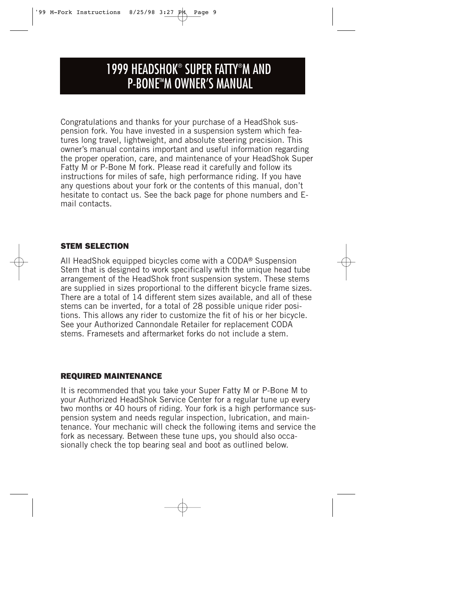# 1999 HEADSHOK® SUPER FATTY® M AND **P-BONE™M OWNER'S MANUAL**

Congratulations and thanks for your purchase of a HeadShok suspension fork. You have invested in a suspension system which features long travel, lightweight, and absolute steering precision. This owner's manual contains important and useful information regarding the proper operation, care, and maintenance of your HeadShok Super Fatty M or P-Bone M fork. Please read it carefully and follow its instructions for miles of safe, high performance riding. If you have any questions about your fork or the contents of this manual, don't hesitate to contact us. See the back page for phone numbers and Email contacts.

## *STEM SELECTION*

All HeadShok equipped bicycles come with a CODA® Suspension Stem that is designed to work specifically with the unique head tube arrangement of the HeadShok front suspension system. These stems are supplied in sizes proportional to the different bicycle frame sizes. There are a total of 14 different stem sizes available, and all of these stems can be inverted, for a total of 28 possible unique rider positions. This allows any rider to customize the fit of his or her bicycle. See your Authorized Cannondale Retailer for replacement CODA stems. Framesets and aftermarket forks do not include a stem.

## *REQUIRED MAINTENANCE*

It is recommended that you take your Super Fatty M or P-Bone M to your Authorized HeadShok Service Center for a regular tune up every two months or 40 hours of riding. Your fork is a high performance suspension system and needs regular inspection, lubrication, and maintenance. Your mechanic will check the following items and service the fork as necessary. Between these tune ups, you should also occasionally check the top bearing seal and boot as outlined below.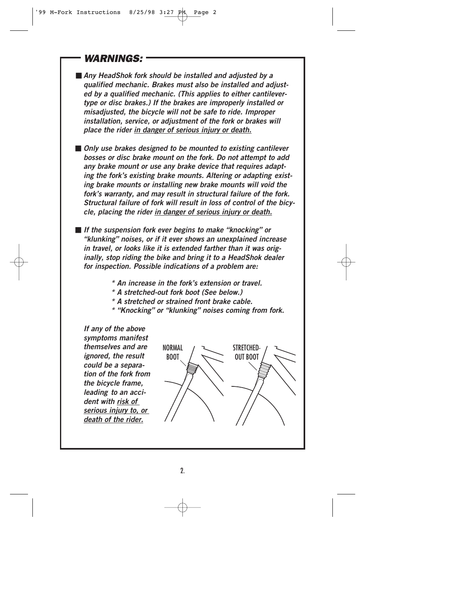## *WARNINGS:*

■ *Any HeadShok fork should be installed and adjusted by a qualified mechanic. Brakes must also be installed and adjusted by a qualified mechanic. (This applies to either cantilevertype or disc brakes.) If the brakes are improperly installed or misadjusted, the bicycle will not be safe to ride. Improper installation, service, or adjustment of the fork or brakes will place the rider in danger of serious injury or death.*

■ *Only use brakes designed to be mounted to existing cantilever bosses or disc brake mount on the fork. Do not attempt to add*  any brake mount or use any brake device that requires adapt*ing the fork's existing brake mounts. Altering or adapting existing brake mounts or installing new brake mounts will void the fork's warranty, and may result in structural failure of the fork. Structural failure of fork will result in loss of control of the bicycle, placing the rider in danger of serious injury or death.*

■ *If the suspension fork ever begins to make "knocking" or "klunking" noises, or if it ever shows an unexplained increase in travel, or looks like it is extended farther than it was originally, stop riding the bike and bring it to a HeadShok dealer for inspection. Possible indications of a problem are:*

- *\* An increase in the fork's extension or travel.*
- *\* A stretched-out fork boot (See below.)*
- *\* A stretched or strained front brake cable.*
- *\* "Knocking" or "klunking" noises coming from fork.*

*If any of the above symptoms manifest themselves and are ignored, the result could be a separation of the fork from the bicycle frame, leading to an accident with risk of serious injury to, or death of the rider.*

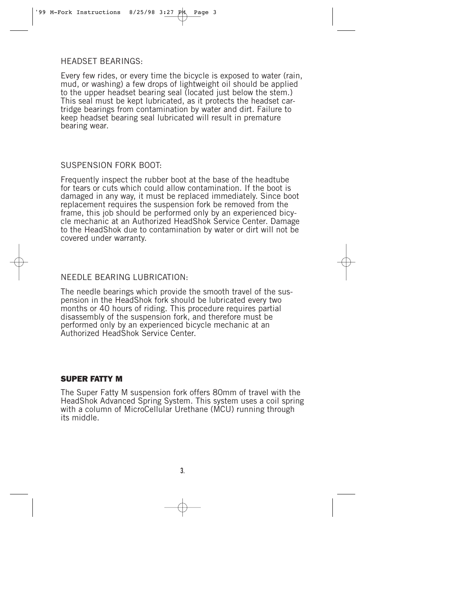#### HEADSET BEARINGS:

Every few rides, or every time the bicycle is exposed to water (rain, mud, or washing) a few drops of lightweight oil should be applied to the upper headset bearing seal (located just below the stem.) This seal must be kept lubricated, as it protects the headset cartridge bearings from contamination by water and dirt. Failure to keep headset bearing seal lubricated will result in premature bearing wear.

## SUSPENSION FORK BOOT:

Frequently inspect the rubber boot at the base of the headtube for tears or cuts which could allow contamination. If the boot is damaged in any way, it must be replaced immediately. Since boot replacement requires the suspension fork be removed from the frame, this job should be performed only by an experienced bicycle mechanic at an Authorized HeadShok Service Center. Damage to the HeadShok due to contamination by water or dirt will not be covered under warranty.

## NEEDLE BEARING LUBRICATION:

The needle bearings which provide the smooth travel of the suspension in the HeadShok fork should be lubricated every two months or 40 hours of riding. This procedure requires partial disassembly of the suspension fork, and therefore must be performed only by an experienced bicycle mechanic at an Authorized HeadShok Service Center.

#### *SUPER FATTY M*

The Super Fatty M suspension fork offers 80mm of travel with the HeadShok Advanced Spring System. This system uses a coil spring with a column of MicroCellular Urethane (MCU) running through its middle.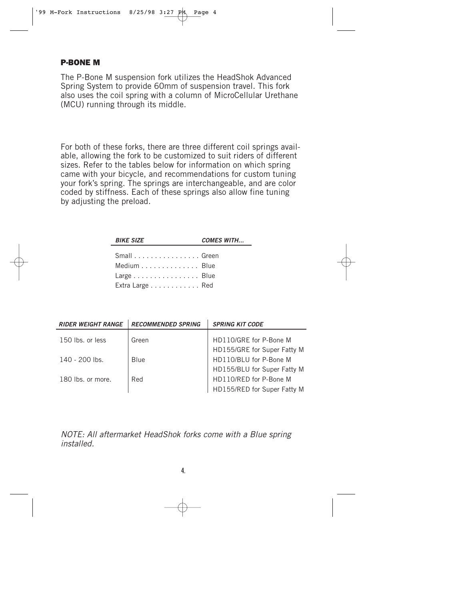## *P-BONE M*

The P-Bone M suspension fork utilizes the HeadShok Advanced Spring System to provide 60mm of suspension travel. This fork also uses the coil spring with a column of MicroCellular Urethane (MCU) running through its middle.

For both of these forks, there are three different coil springs available, allowing the fork to be customized to suit riders of different sizes. Refer to the tables below for information on which spring came with your bicycle, and recommendations for custom tuning your fork's spring. The springs are interchangeable, and are color coded by stiffness. Each of these springs also allow fine tuning by adjusting the preload.

| <b>BIKE SIZE</b>                                            | <b>COMES WITH</b> |
|-------------------------------------------------------------|-------------------|
| Small Green<br>Medium Blue<br>Large Blue<br>Extra Large Red |                   |

| <b>RIDER WEIGHT RANGE</b> | <b>RECOMMENDED SPRING</b> | <b>SPRING KIT CODE</b>      |
|---------------------------|---------------------------|-----------------------------|
| 150 lbs. or less          | Green                     | HD110/GRE for P-Bone M      |
|                           |                           | HD155/GRE for Super Fatty M |
| 140 - 200 lbs.            | <b>Blue</b>               | HD110/BLU for P-Bone M      |
|                           |                           | HD155/BLU for Super Fatty M |
| 180 lbs. or more.         | Red                       | HD110/RED for P-Bone M      |
|                           |                           | HD155/RED for Super Fatty M |

NOTE: All aftermarket HeadShok forks come with a Blue spring installed.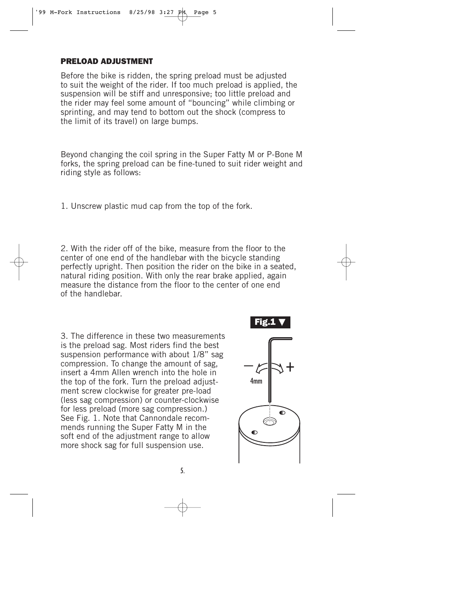#### *PRELOAD ADJUSTMENT*

Before the bike is ridden, the spring preload must be adjusted to suit the weight of the rider. If too much preload is applied, the suspension will be stiff and unresponsive; too little preload and the rider may feel some amount of "bouncing" while climbing or sprinting, and may tend to bottom out the shock (compress to the limit of its travel) on large bumps.

Beyond changing the coil spring in the Super Fatty M or P-Bone M forks, the spring preload can be fine-tuned to suit rider weight and riding style as follows:

1. Unscrew plastic mud cap from the top of the fork.

2. With the rider off of the bike, measure from the floor to the center of one end of the handlebar with the bicycle standing perfectly upright. Then position the rider on the bike in a seated, natural riding position. With only the rear brake applied, again measure the distance from the floor to the center of one end of the handlebar.

3. The difference in these two measurements is the preload sag. Most riders find the best suspension performance with about 1/8" sag compression. To change the amount of sag, insert a 4mm Allen wrench into the hole in the top of the fork. Turn the preload adjustment screw clockwise for greater pre-load (less sag compression) or counter-clockwise for less preload (more sag compression.) See Fig. 1. Note that Cannondale recommends running the Super Fatty M in the soft end of the adjustment range to allow more shock sag for full suspension use.

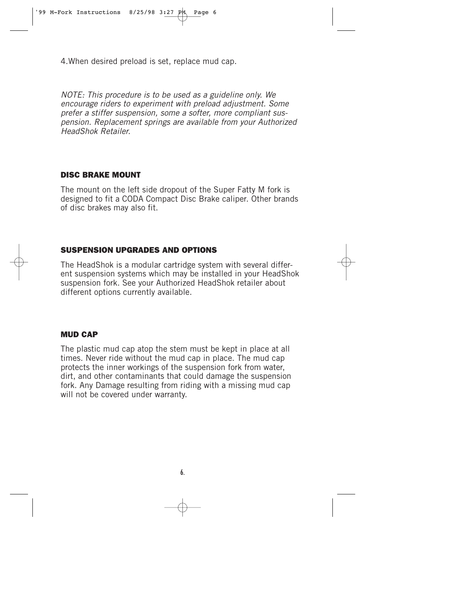4.When desired preload is set, replace mud cap.

NOTE: This procedure is to be used as a guideline only. We encourage riders to experiment with preload adjustment. Some prefer a stiffer suspension, some a softer, more compliant suspension. Replacement springs are available from your Authorized HeadShok Retailer.

## *DISC BRAKE MOUNT*

The mount on the left side dropout of the Super Fatty M fork is designed to fit a CODA Compact Disc Brake caliper. Other brands of disc brakes may also fit.

## *SUSPENSION UPGRADES AND OPTIONS*

The HeadShok is a modular cartridge system with several different suspension systems which may be installed in your HeadShok suspension fork. See your Authorized HeadShok retailer about different options currently available.

#### *MUD CAP*

The plastic mud cap atop the stem must be kept in place at all times. Never ride without the mud cap in place. The mud cap protects the inner workings of the suspension fork from water, dirt, and other contaminants that could damage the suspension fork. Any Damage resulting from riding with a missing mud cap will not be covered under warranty.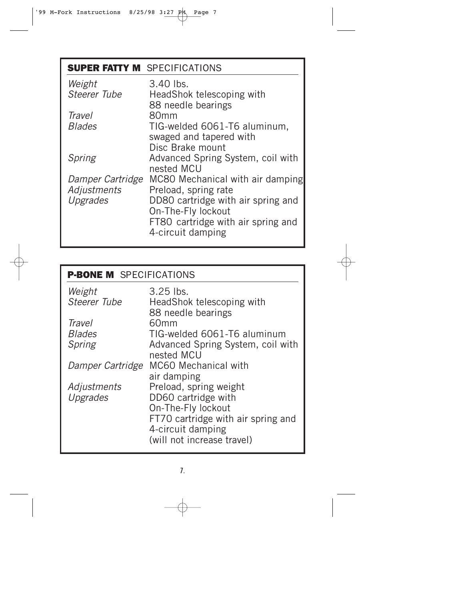| <b>SUPER FATTY M</b> SPECIFICATIONS |                                    |
|-------------------------------------|------------------------------------|
| Weight                              | 3.40 lbs.                          |
| <b>Steerer Tube</b>                 | HeadShok telescoping with          |
|                                     | 88 needle bearings                 |
| Travel                              | 80 <sub>mm</sub>                   |
| <b>Blades</b>                       | TIG-welded 6061-T6 aluminum,       |
|                                     | swaged and tapered with            |
|                                     | Disc Brake mount                   |
| Spring                              | Advanced Spring System, coil with  |
|                                     | nested MCU                         |
| Damper Cartridge                    | MC80 Mechanical with air damping   |
| Adjustments                         | Preload, spring rate               |
| Upgrades                            | DD80 cartridge with air spring and |
|                                     | On-The-Fly lockout                 |
|                                     | FT80 cartridge with air spring and |
|                                     | 4-circuit damping                  |
|                                     |                                    |

| <b>P-BONE M</b> SPECIFICATIONS |                                    |  |  |
|--------------------------------|------------------------------------|--|--|
| Weight                         | $3.25$ lbs.                        |  |  |
| Steerer Tube                   | HeadShok telescoping with          |  |  |
|                                | 88 needle bearings                 |  |  |
| <b>Travel</b>                  | 60mm                               |  |  |
| <b>Blades</b>                  | TIG-welded 6061-T6 aluminum        |  |  |
| Spring                         | Advanced Spring System, coil with  |  |  |
|                                | nested MCU                         |  |  |
| Damper Cartridge               | MC60 Mechanical with               |  |  |
|                                | air damping                        |  |  |
| Adjustments                    | Preload, spring weight             |  |  |
| Upgrades                       | DD60 cartridge with                |  |  |
|                                | On-The-Fly lockout                 |  |  |
|                                | FT70 cartridge with air spring and |  |  |
|                                | 4-circuit damping                  |  |  |
|                                | (will not increase travel)         |  |  |
|                                |                                    |  |  |